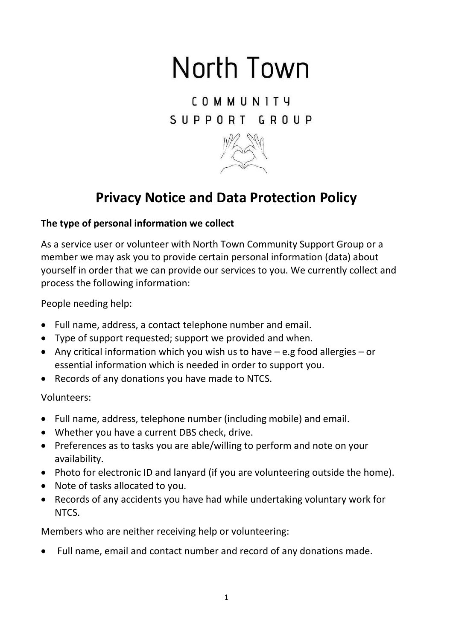# North Town

**COMMUNITY** SUPPORT GROUP



## **Privacy Notice and Data Protection Policy**

### **The type of personal information we collect**

As a service user or volunteer with North Town Community Support Group or a member we may ask you to provide certain personal information (data) about yourself in order that we can provide our services to you. We currently collect and process the following information:

People needing help:

- Full name, address, a contact telephone number and email.
- Type of support requested; support we provided and when.
- Any critical information which you wish us to have e.g food allergies or essential information which is needed in order to support you.
- Records of any donations you have made to NTCS.

Volunteers:

- Full name, address, telephone number (including mobile) and email.
- Whether you have a current DBS check, drive.
- Preferences as to tasks you are able/willing to perform and note on your availability.
- Photo for electronic ID and lanyard (if you are volunteering outside the home).
- Note of tasks allocated to you.
- Records of any accidents you have had while undertaking voluntary work for NTCS.

Members who are neither receiving help or volunteering:

Full name, email and contact number and record of any donations made.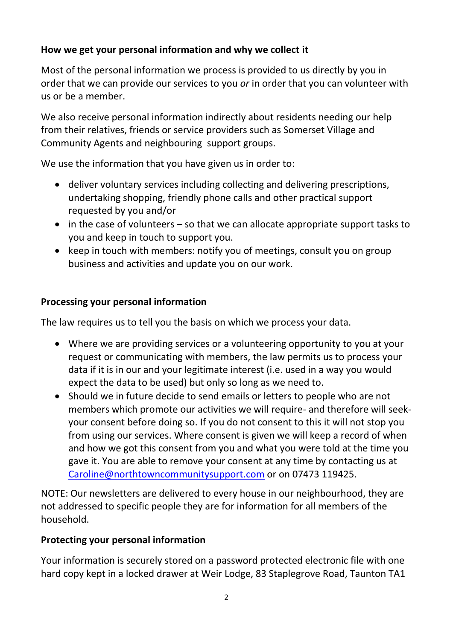### **How we get your personal information and why we collect it**

Most of the personal information we process is provided to us directly by you in order that we can provide our services to you *or* in order that you can volunteer with us or be a member.

We also receive personal information indirectly about residents needing our help from their relatives, friends or service providers such as Somerset Village and Community Agents and neighbouring support groups.

We use the information that you have given us in order to:

- deliver voluntary services including collecting and delivering prescriptions, undertaking shopping, friendly phone calls and other practical support requested by you and/or
- in the case of volunteers so that we can allocate appropriate support tasks to you and keep in touch to support you.
- keep in touch with members: notify you of meetings, consult you on group business and activities and update you on our work.

#### **Processing your personal information**

The law requires us to tell you the basis on which we process your data.

- Where we are providing services or a volunteering opportunity to you at your request or communicating with members, the law permits us to process your data if it is in our and your legitimate interest (i.e. used in a way you would expect the data to be used) but only so long as we need to.
- Should we in future decide to send emails or letters to people who are not members which promote our activities we will require- and therefore will seekyour consent before doing so. If you do not consent to this it will not stop you from using our services. Where consent is given we will keep a record of when and how we got this consent from you and what you were told at the time you gave it. You are able to remove your consent at any time by contacting us at [Caroline@northtowncommunitysupport.com](mailto:Caroline@northtowncommunitysupport.com) or on 07473 119425.

NOTE: Our newsletters are delivered to every house in our neighbourhood, they are not addressed to specific people they are for information for all members of the household.

#### **Protecting your personal information**

Your information is securely stored on a password protected electronic file with one hard copy kept in a locked drawer at Weir Lodge, 83 Staplegrove Road, Taunton TA1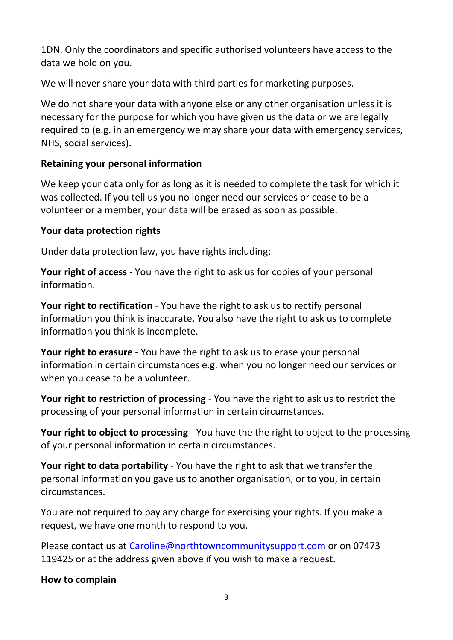1DN. Only the coordinators and specific authorised volunteers have access to the data we hold on you.

We will never share your data with third parties for marketing purposes.

We do not share your data with anyone else or any other organisation unless it is necessary for the purpose for which you have given us the data or we are legally required to (e.g. in an emergency we may share your data with emergency services, NHS, social services).

#### **Retaining your personal information**

We keep your data only for as long as it is needed to complete the task for which it was collected. If you tell us you no longer need our services or cease to be a volunteer or a member, your data will be erased as soon as possible.

#### **Your data protection rights**

Under data protection law, you have rights including:

**Your right of access** - You have the right to ask us for copies of your personal information.

**Your right to rectification** - You have the right to ask us to rectify personal information you think is inaccurate. You also have the right to ask us to complete information you think is incomplete.

**Your right to erasure** - You have the right to ask us to erase your personal information in certain circumstances e.g. when you no longer need our services or when you cease to be a volunteer.

**Your right to restriction of processing** - You have the right to ask us to restrict the processing of your personal information in certain circumstances.

**Your right to object to processing** - You have the the right to object to the processing of your personal information in certain circumstances.

**Your right to data portability** - You have the right to ask that we transfer the personal information you gave us to another organisation, or to you, in certain circumstances.

You are not required to pay any charge for exercising your rights. If you make a request, we have one month to respond to you.

Please contact us at [Caroline@northtowncommunitysupport.com](mailto:Caroline@northtowncommunitysupport.com) or on 07473 119425 or at the address given above if you wish to make a request.

**How to complain**